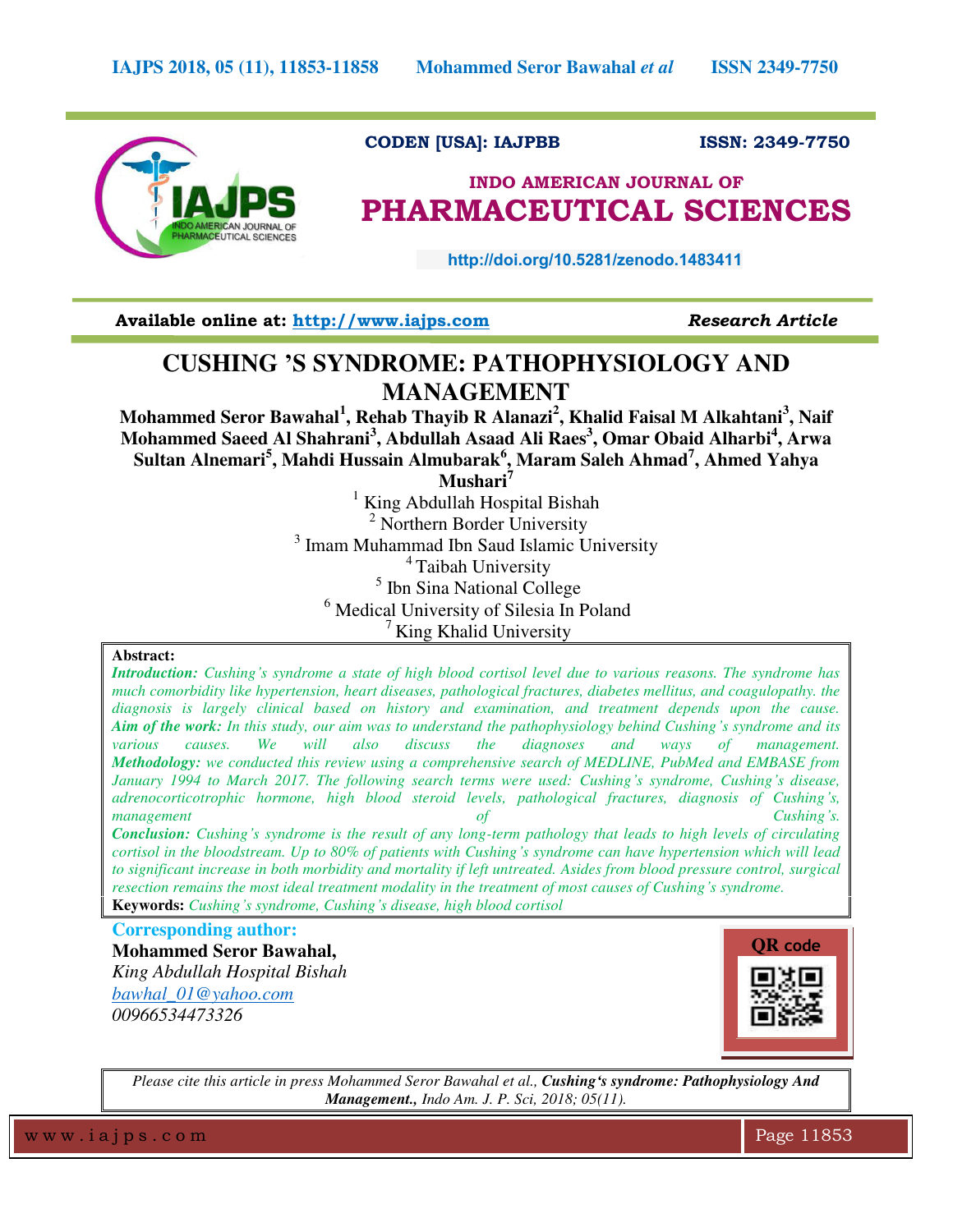

# **CODEN [USA]: IAJPBB ISSN: 2349-7750**

# **INDO AMERICAN JOURNAL OF PHARMACEUTICAL SCIENCES**

 **http://doi.org/10.5281/zenodo.1483411** 

**Available online at: [http://www.iajps.com](http://www.iajps.com/)** *Research Article*

# **CUSHING 'S SYNDROME: PATHOPHYSIOLOGY AND MANAGEMENT**

**Mohammed Seror Bawahal<sup>1</sup> , Rehab Thayib R Alanazi<sup>2</sup> , Khalid Faisal M Alkahtani<sup>3</sup> , Naif Mohammed Saeed Al Shahrani<sup>3</sup> , Abdullah Asaad Ali Raes<sup>3</sup> , Omar Obaid Alharbi<sup>4</sup> , Arwa Sultan Alnemari<sup>5</sup> , Mahdi Hussain Almubarak<sup>6</sup> , Maram Saleh Ahmad<sup>7</sup> , Ahmed Yahya** 

**Mushari<sup>7</sup>**

<sup>1</sup> King Abdullah Hospital Bishah <sup>2</sup> Northern Border University <sup>3</sup> Imam Muhammad Ibn Saud Islamic University <sup>4</sup>Taibah University 5 Ibn Sina National College <sup>6</sup> Medical University of Silesia In Poland King Khalid University

## **Abstract:**

*Introduction: Cushing's syndrome a state of high blood cortisol level due to various reasons. The syndrome has much comorbidity like hypertension, heart diseases, pathological fractures, diabetes mellitus, and coagulopathy. the diagnosis is largely clinical based on history and examination, and treatment depends upon the cause. Aim of the work: In this study, our aim was to understand the pathophysiology behind Cushing's syndrome and its*  various causes. We will also discuss the diagnoses and ways of management. *Methodology: we conducted this review using a comprehensive search of MEDLINE, PubMed and EMBASE from January 1994 to March 2017. The following search terms were used: Cushing's syndrome, Cushing's disease, adrenocorticotrophic hormone, high blood steroid levels, pathological fractures, diagnosis of Cushing's, management of Cushing's. Conclusion: Cushing's syndrome is the result of any long-term pathology that leads to high levels of circulating cortisol in the bloodstream. Up to 80% of patients with Cushing's syndrome can have hypertension which will lead* 

*to significant increase in both morbidity and mortality if left untreated. Asides from blood pressure control, surgical resection remains the most ideal treatment modality in the treatment of most causes of Cushing's syndrome.*  **Keywords:** *Cushing's syndrome, Cushing's disease, high blood cortisol*

**Corresponding author: Mohammed Seror Bawahal,**  *King Abdullah Hospital Bishah [bawhal\\_01@yahoo.com](mailto:bawhal_01@yahoo.com) 00966534473326* 



*Please cite this article in press Mohammed Seror Bawahal et al., Cushing's syndrome: Pathophysiology And Management., Indo Am. J. P. Sci, 2018; 05(11).*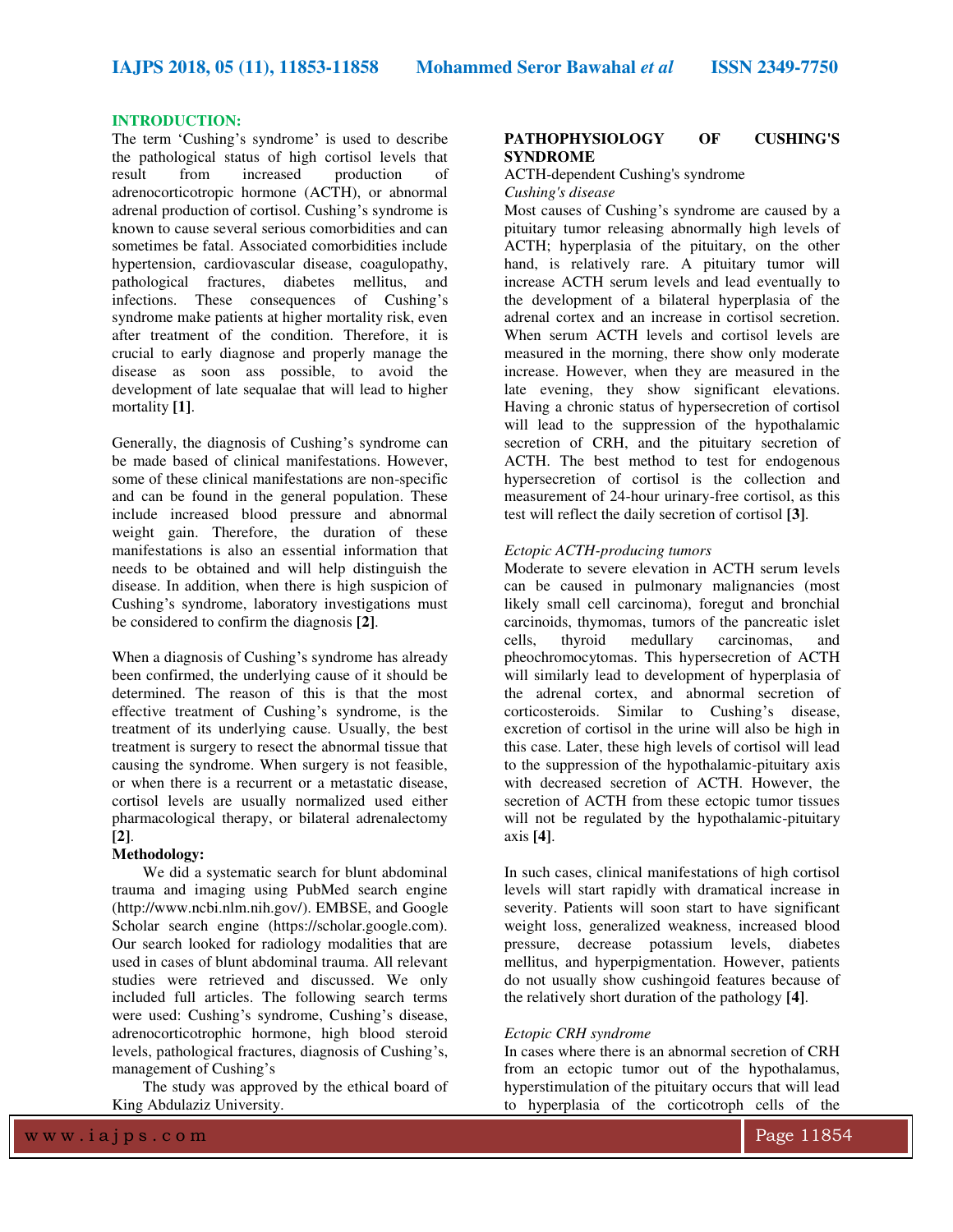## **INTRODUCTION:**

The term 'Cushing's syndrome' is used to describe the pathological status of high cortisol levels that result from increased production of adrenocorticotropic hormone (ACTH), or abnormal adrenal production of cortisol. Cushing's syndrome is known to cause several serious comorbidities and can sometimes be fatal. Associated comorbidities include hypertension, cardiovascular disease, coagulopathy, pathological fractures, diabetes mellitus, and infections. These consequences of Cushing's syndrome make patients at higher mortality risk, even after treatment of the condition. Therefore, it is crucial to early diagnose and properly manage the disease as soon ass possible, to avoid the development of late sequalae that will lead to higher mortality **[1]**.

Generally, the diagnosis of Cushing's syndrome can be made based of clinical manifestations. However, some of these clinical manifestations are non-specific and can be found in the general population. These include increased blood pressure and abnormal weight gain. Therefore, the duration of these manifestations is also an essential information that needs to be obtained and will help distinguish the disease. In addition, when there is high suspicion of Cushing's syndrome, laboratory investigations must be considered to confirm the diagnosis **[2]**.

When a diagnosis of Cushing's syndrome has already been confirmed, the underlying cause of it should be determined. The reason of this is that the most effective treatment of Cushing's syndrome, is the treatment of its underlying cause. Usually, the best treatment is surgery to resect the abnormal tissue that causing the syndrome. When surgery is not feasible, or when there is a recurrent or a metastatic disease, cortisol levels are usually normalized used either pharmacological therapy, or bilateral adrenalectomy **[2]**.

## **Methodology:**

We did a systematic search for blunt abdominal trauma and imaging using PubMed search engine [\(http://www.ncbi.nlm.nih.gov/\)](http://www.ncbi.nlm.nih.gov/). EMBSE, and Google Scholar search engine (https://scholar.google.com). Our search looked for radiology modalities that are used in cases of blunt abdominal trauma. All relevant studies were retrieved and discussed. We only included full articles. The following search terms were used: Cushing's syndrome, Cushing's disease, adrenocorticotrophic hormone, high blood steroid levels, pathological fractures, diagnosis of Cushing's, management of Cushing's

The study was approved by the ethical board of King Abdulaziz University.

## **PATHOPHYSIOLOGY OF CUSHING'S SYNDROME**

## ACTH-dependent Cushing's syndrome *Cushing's disease*

Most causes of Cushing's syndrome are caused by a pituitary tumor releasing abnormally high levels of ACTH; hyperplasia of the pituitary, on the other hand, is relatively rare. A pituitary tumor will increase ACTH serum levels and lead eventually to the development of a bilateral hyperplasia of the adrenal cortex and an increase in cortisol secretion. When serum ACTH levels and cortisol levels are measured in the morning, there show only moderate increase. However, when they are measured in the late evening, they show significant elevations. Having a chronic status of hypersecretion of cortisol will lead to the suppression of the hypothalamic secretion of CRH, and the pituitary secretion of ACTH. The best method to test for endogenous hypersecretion of cortisol is the collection and measurement of 24-hour urinary-free cortisol, as this test will reflect the daily secretion of cortisol **[3]**.

## *Ectopic ACTH-producing tumors*

Moderate to severe elevation in ACTH serum levels can be caused in pulmonary malignancies (most likely small cell carcinoma), foregut and bronchial carcinoids, thymomas, tumors of the pancreatic islet cells, thyroid medullary carcinomas, and pheochromocytomas. This hypersecretion of ACTH will similarly lead to development of hyperplasia of the adrenal cortex, and abnormal secretion of corticosteroids. Similar to Cushing's disease, excretion of cortisol in the urine will also be high in this case. Later, these high levels of cortisol will lead to the suppression of the hypothalamic-pituitary axis with decreased secretion of ACTH. However, the secretion of ACTH from these ectopic tumor tissues will not be regulated by the hypothalamic-pituitary axis **[4]**.

In such cases, clinical manifestations of high cortisol levels will start rapidly with dramatical increase in severity. Patients will soon start to have significant weight loss, generalized weakness, increased blood pressure, decrease potassium levels, diabetes mellitus, and hyperpigmentation. However, patients do not usually show cushingoid features because of the relatively short duration of the pathology **[4]**.

#### *Ectopic CRH syndrome*

In cases where there is an abnormal secretion of CRH from an ectopic tumor out of the hypothalamus, hyperstimulation of the pituitary occurs that will lead to hyperplasia of the corticotroph cells of the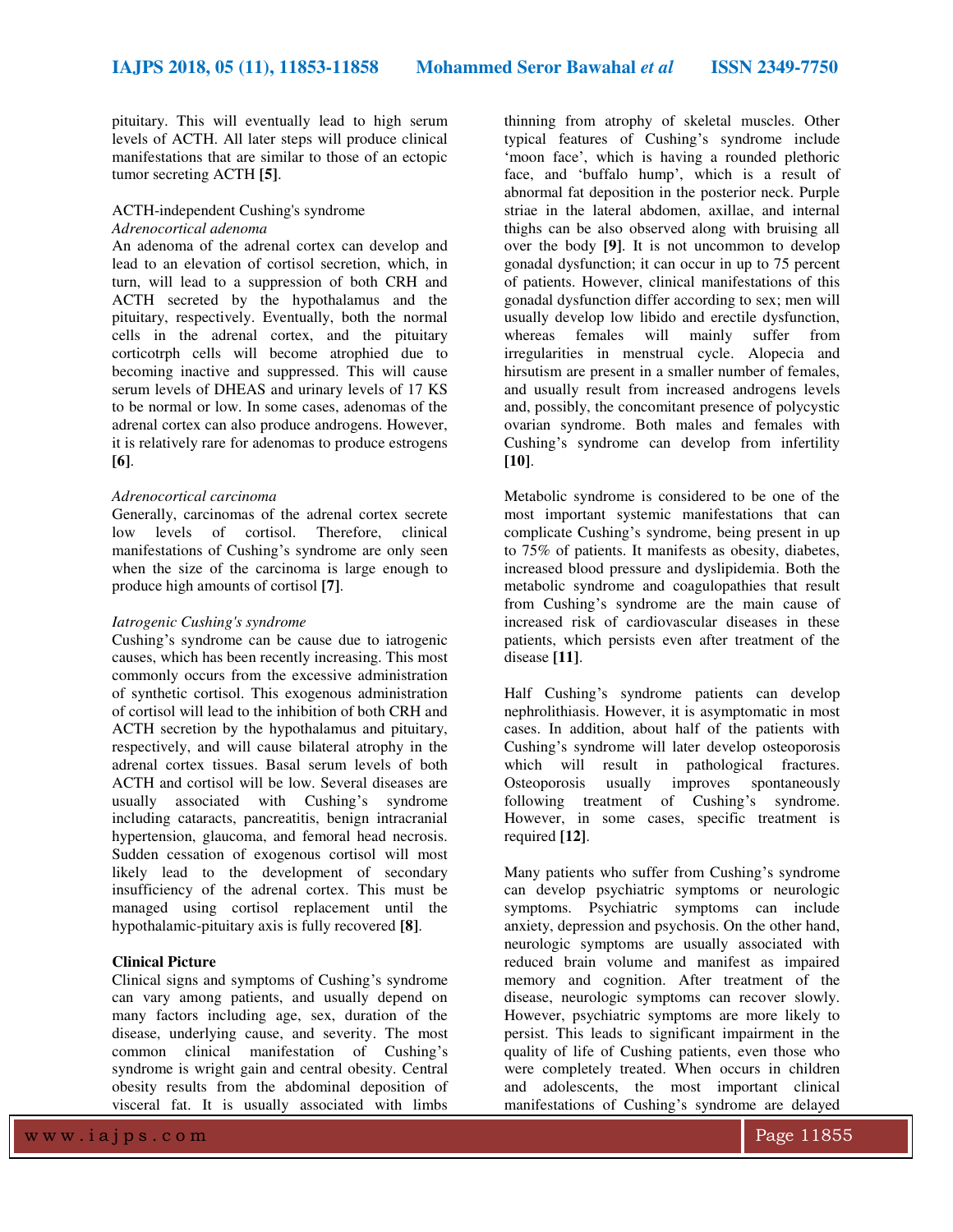pituitary. This will eventually lead to high serum levels of ACTH. All later steps will produce clinical manifestations that are similar to those of an ectopic tumor secreting ACTH **[5]**.

## ACTH-independent Cushing's syndrome *Adrenocortical adenoma*

An adenoma of the adrenal cortex can develop and lead to an elevation of cortisol secretion, which, in turn, will lead to a suppression of both CRH and ACTH secreted by the hypothalamus and the pituitary, respectively. Eventually, both the normal cells in the adrenal cortex, and the pituitary corticotrph cells will become atrophied due to becoming inactive and suppressed. This will cause serum levels of DHEAS and urinary levels of 17 KS to be normal or low. In some cases, adenomas of the adrenal cortex can also produce androgens. However, it is relatively rare for adenomas to produce estrogens **[6]**.

## *Adrenocortical carcinoma*

Generally, carcinomas of the adrenal cortex secrete low levels of cortisol. Therefore, clinical manifestations of Cushing's syndrome are only seen when the size of the carcinoma is large enough to produce high amounts of cortisol **[7]**.

# *Iatrogenic Cushing's syndrome*

Cushing's syndrome can be cause due to iatrogenic causes, which has been recently increasing. This most commonly occurs from the excessive administration of synthetic cortisol. This exogenous administration of cortisol will lead to the inhibition of both CRH and ACTH secretion by the hypothalamus and pituitary, respectively, and will cause bilateral atrophy in the adrenal cortex tissues. Basal serum levels of both ACTH and cortisol will be low. Several diseases are usually associated with Cushing's syndrome including cataracts, pancreatitis, benign intracranial hypertension, glaucoma, and femoral head necrosis. Sudden cessation of exogenous cortisol will most likely lead to the development of secondary insufficiency of the adrenal cortex. This must be managed using cortisol replacement until the hypothalamic-pituitary axis is fully recovered **[8]**.

# **Clinical Picture**

Clinical signs and symptoms of Cushing's syndrome can vary among patients, and usually depend on many factors including age, sex, duration of the disease, underlying cause, and severity. The most common clinical manifestation of Cushing's syndrome is wright gain and central obesity. Central obesity results from the abdominal deposition of visceral fat. It is usually associated with limbs

thinning from atrophy of skeletal muscles. Other typical features of Cushing's syndrome include 'moon face', which is having a rounded plethoric face, and 'buffalo hump', which is a result of abnormal fat deposition in the posterior neck. Purple striae in the lateral abdomen, axillae, and internal thighs can be also observed along with bruising all over the body **[9]**. It is not uncommon to develop gonadal dysfunction; it can occur in up to 75 percent of patients. However, clinical manifestations of this gonadal dysfunction differ according to sex; men will usually develop low libido and erectile dysfunction, whereas females will mainly suffer from irregularities in menstrual cycle. Alopecia and hirsutism are present in a smaller number of females, and usually result from increased androgens levels and, possibly, the concomitant presence of polycystic ovarian syndrome. Both males and females with Cushing's syndrome can develop from infertility **[10]**.

Metabolic syndrome is considered to be one of the most important systemic manifestations that can complicate Cushing's syndrome, being present in up to 75% of patients. It manifests as obesity, diabetes, increased blood pressure and dyslipidemia. Both the metabolic syndrome and coagulopathies that result from Cushing's syndrome are the main cause of increased risk of cardiovascular diseases in these patients, which persists even after treatment of the disease **[11]**.

Half Cushing's syndrome patients can develop nephrolithiasis. However, it is asymptomatic in most cases. In addition, about half of the patients with Cushing's syndrome will later develop osteoporosis which will result in pathological fractures.<br>Osteoporosis usually improves spontaneously usually improves spontaneously following treatment of Cushing's syndrome. However, in some cases, specific treatment is required **[12]**.

Many patients who suffer from Cushing's syndrome can develop psychiatric symptoms or neurologic symptoms. Psychiatric symptoms can include anxiety, depression and psychosis. On the other hand, neurologic symptoms are usually associated with reduced brain volume and manifest as impaired memory and cognition. After treatment of the disease, neurologic symptoms can recover slowly. However, psychiatric symptoms are more likely to persist. This leads to significant impairment in the quality of life of Cushing patients, even those who were completely treated. When occurs in children and adolescents, the most important clinical manifestations of Cushing's syndrome are delayed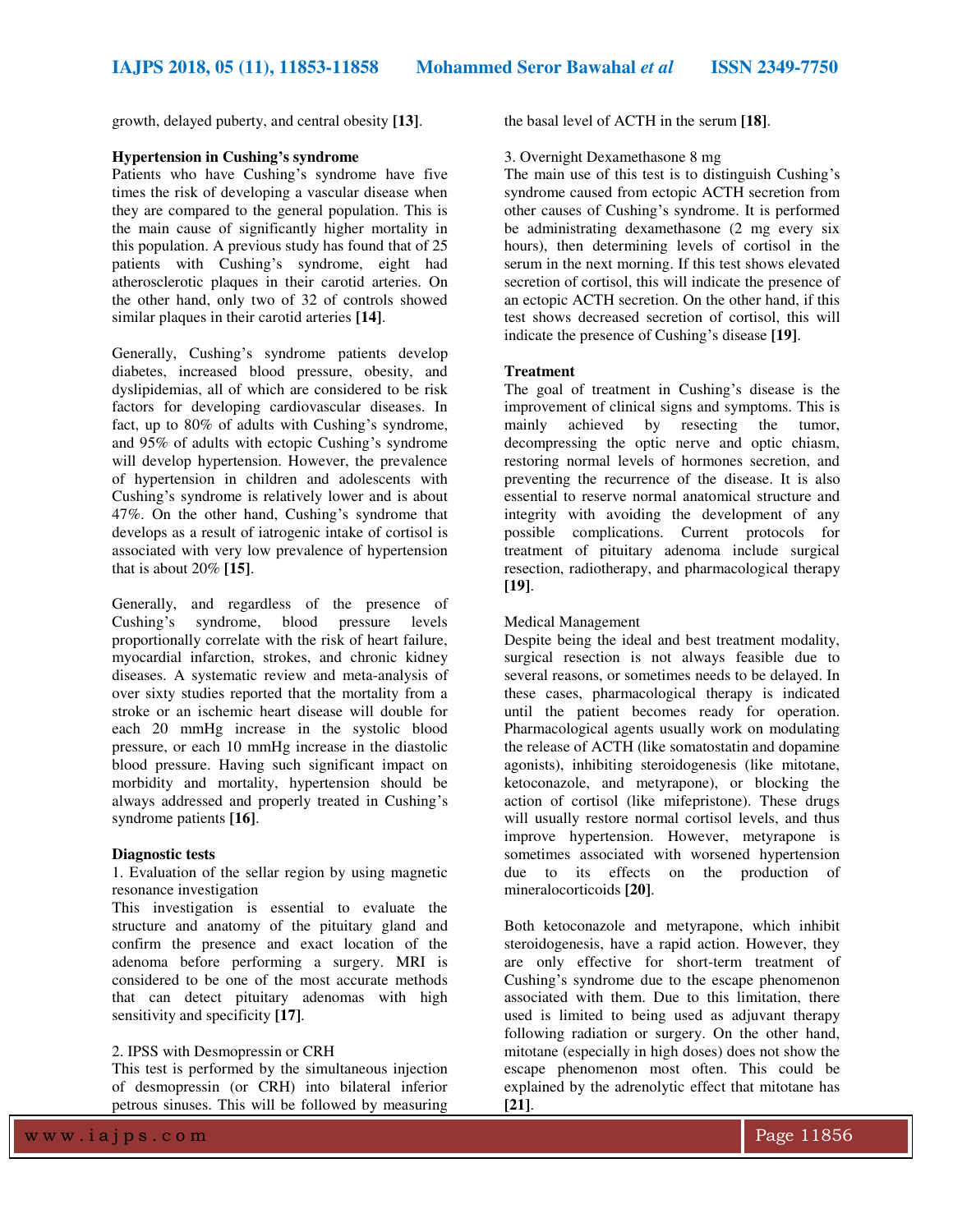growth, delayed puberty, and central obesity **[13]**.

## **Hypertension in Cushing's syndrome**

Patients who have Cushing's syndrome have five times the risk of developing a vascular disease when they are compared to the general population. This is the main cause of significantly higher mortality in this population. A previous study has found that of 25 patients with Cushing's syndrome, eight had atherosclerotic plaques in their carotid arteries. On the other hand, only two of 32 of controls showed similar plaques in their carotid arteries **[14]**.

Generally, Cushing's syndrome patients develop diabetes, increased blood pressure, obesity, and dyslipidemias, all of which are considered to be risk factors for developing cardiovascular diseases. In fact, up to 80% of adults with Cushing's syndrome, and 95% of adults with ectopic Cushing's syndrome will develop hypertension. However, the prevalence of hypertension in children and adolescents with Cushing's syndrome is relatively lower and is about 47%. On the other hand, Cushing's syndrome that develops as a result of iatrogenic intake of cortisol is associated with very low prevalence of hypertension that is about 20% **[15]**.

Generally, and regardless of the presence of Cushing's syndrome, blood pressure levels proportionally correlate with the risk of heart failure, myocardial infarction, strokes, and chronic kidney diseases. A systematic review and meta-analysis of over sixty studies reported that the mortality from a stroke or an ischemic heart disease will double for each 20 mmHg increase in the systolic blood pressure, or each 10 mmHg increase in the diastolic blood pressure. Having such significant impact on morbidity and mortality, hypertension should be always addressed and properly treated in Cushing's syndrome patients **[16]**.

## **Diagnostic tests**

1. Evaluation of the sellar region by using magnetic resonance investigation

This investigation is essential to evaluate the structure and anatomy of the pituitary gland and confirm the presence and exact location of the adenoma before performing a surgery. MRI is considered to be one of the most accurate methods that can detect pituitary adenomas with high sensitivity and specificity **[17]**.

## 2. IPSS with Desmopressin or CRH

This test is performed by the simultaneous injection of desmopressin (or CRH) into bilateral inferior petrous sinuses. This will be followed by measuring

# the basal level of ACTH in the serum **[18]**.

# 3. Overnight Dexamethasone 8 mg

The main use of this test is to distinguish Cushing's syndrome caused from ectopic ACTH secretion from other causes of Cushing's syndrome. It is performed be administrating dexamethasone (2 mg every six hours), then determining levels of cortisol in the serum in the next morning. If this test shows elevated secretion of cortisol, this will indicate the presence of an ectopic ACTH secretion. On the other hand, if this test shows decreased secretion of cortisol, this will indicate the presence of Cushing's disease **[19]**.

## **Treatment**

The goal of treatment in Cushing's disease is the improvement of clinical signs and symptoms. This is mainly achieved by resecting the tumor, decompressing the optic nerve and optic chiasm, restoring normal levels of hormones secretion, and preventing the recurrence of the disease. It is also essential to reserve normal anatomical structure and integrity with avoiding the development of any possible complications. Current protocols for treatment of pituitary adenoma include surgical resection, radiotherapy, and pharmacological therapy **[19]**.

## Medical Management

Despite being the ideal and best treatment modality, surgical resection is not always feasible due to several reasons, or sometimes needs to be delayed. In these cases, pharmacological therapy is indicated until the patient becomes ready for operation. Pharmacological agents usually work on modulating the release of ACTH (like somatostatin and dopamine agonists), inhibiting steroidogenesis (like mitotane, ketoconazole, and metyrapone), or blocking the action of cortisol (like mifepristone). These drugs will usually restore normal cortisol levels, and thus improve hypertension. However, metyrapone is sometimes associated with worsened hypertension due to its effects on the production of mineralocorticoids **[20]**.

Both ketoconazole and metyrapone, which inhibit steroidogenesis, have a rapid action. However, they are only effective for short-term treatment of Cushing's syndrome due to the escape phenomenon associated with them. Due to this limitation, there used is limited to being used as adjuvant therapy following radiation or surgery. On the other hand, mitotane (especially in high doses) does not show the escape phenomenon most often. This could be explained by the adrenolytic effect that mitotane has **[21]**.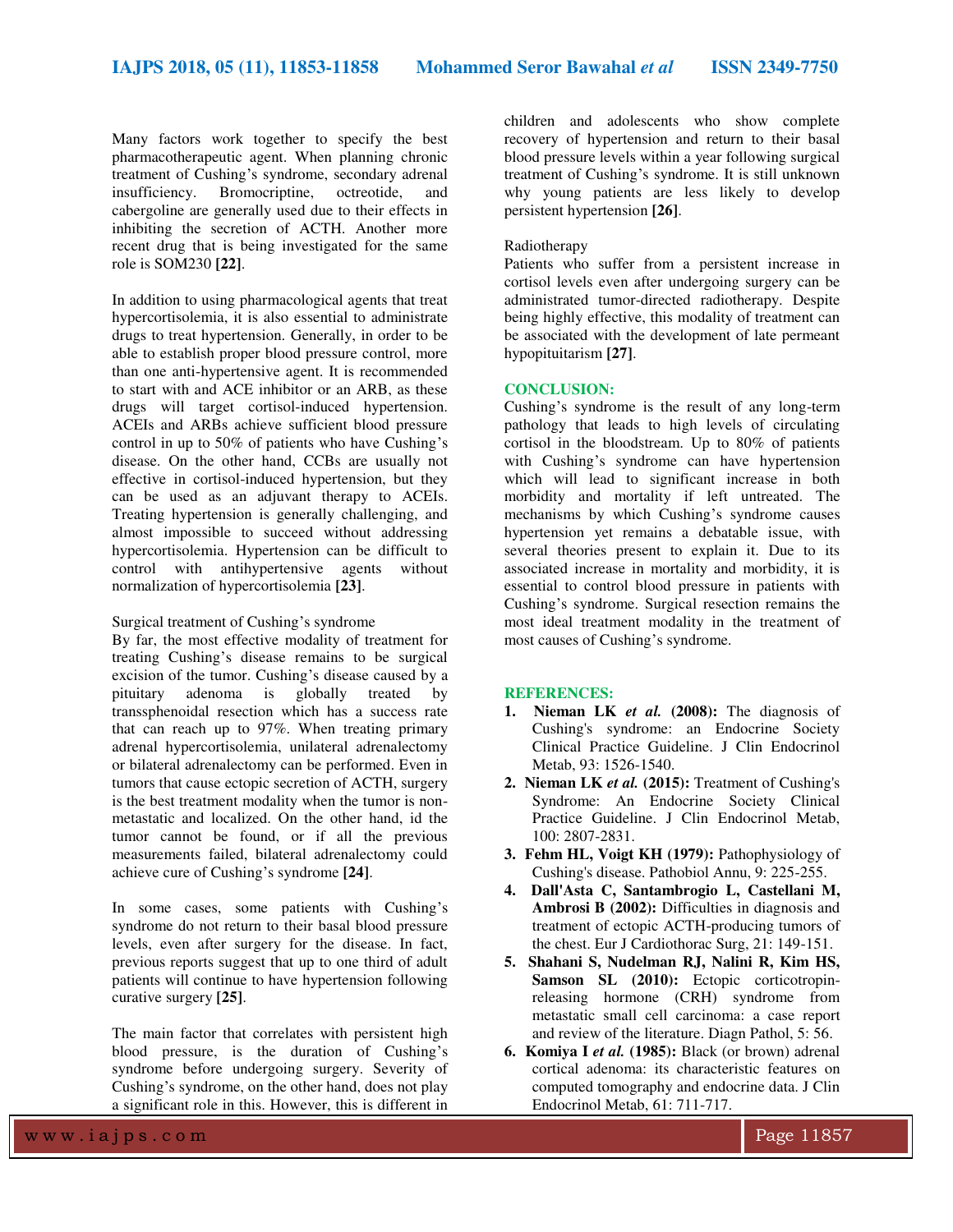Many factors work together to specify the best pharmacotherapeutic agent. When planning chronic treatment of Cushing's syndrome, secondary adrenal<br>insufficiency. Bromocriptine, octreotide. and Bromocriptine, octreotide, cabergoline are generally used due to their effects in inhibiting the secretion of ACTH. Another more recent drug that is being investigated for the same role is SOM230 **[22]**.

In addition to using pharmacological agents that treat hypercortisolemia, it is also essential to administrate drugs to treat hypertension. Generally, in order to be able to establish proper blood pressure control, more than one anti-hypertensive agent. It is recommended to start with and ACE inhibitor or an ARB, as these drugs will target cortisol-induced hypertension. ACEIs and ARBs achieve sufficient blood pressure control in up to 50% of patients who have Cushing's disease. On the other hand, CCBs are usually not effective in cortisol-induced hypertension, but they can be used as an adjuvant therapy to ACEIs. Treating hypertension is generally challenging, and almost impossible to succeed without addressing hypercortisolemia. Hypertension can be difficult to control with antihypertensive agents without normalization of hypercortisolemia **[23]**.

# Surgical treatment of Cushing's syndrome

By far, the most effective modality of treatment for treating Cushing's disease remains to be surgical excision of the tumor. Cushing's disease caused by a pituitary adenoma is globally treated by transsphenoidal resection which has a success rate that can reach up to 97%. When treating primary adrenal hypercortisolemia, unilateral adrenalectomy or bilateral adrenalectomy can be performed. Even in tumors that cause ectopic secretion of ACTH, surgery is the best treatment modality when the tumor is nonmetastatic and localized. On the other hand, id the tumor cannot be found, or if all the previous measurements failed, bilateral adrenalectomy could achieve cure of Cushing's syndrome **[24]**.

In some cases, some patients with Cushing's syndrome do not return to their basal blood pressure levels, even after surgery for the disease. In fact, previous reports suggest that up to one third of adult patients will continue to have hypertension following curative surgery **[25]**.

The main factor that correlates with persistent high blood pressure, is the duration of Cushing's syndrome before undergoing surgery. Severity of Cushing's syndrome, on the other hand, does not play a significant role in this. However, this is different in children and adolescents who show complete recovery of hypertension and return to their basal blood pressure levels within a year following surgical treatment of Cushing's syndrome. It is still unknown why young patients are less likely to develop persistent hypertension **[26]**.

### Radiotherapy

Patients who suffer from a persistent increase in cortisol levels even after undergoing surgery can be administrated tumor-directed radiotherapy. Despite being highly effective, this modality of treatment can be associated with the development of late permeant hypopituitarism **[27]**.

## **CONCLUSION:**

Cushing's syndrome is the result of any long-term pathology that leads to high levels of circulating cortisol in the bloodstream. Up to 80% of patients with Cushing's syndrome can have hypertension which will lead to significant increase in both morbidity and mortality if left untreated. The mechanisms by which Cushing's syndrome causes hypertension yet remains a debatable issue, with several theories present to explain it. Due to its associated increase in mortality and morbidity, it is essential to control blood pressure in patients with Cushing's syndrome. Surgical resection remains the most ideal treatment modality in the treatment of most causes of Cushing's syndrome.

#### **REFERENCES:**

- **1. Nieman LK** *et al.* **(2008):** The diagnosis of Cushing's syndrome: an Endocrine Society Clinical Practice Guideline. J Clin Endocrinol Metab, 93: 1526-1540.
- **2. Nieman LK** *et al.* **(2015):** Treatment of Cushing's Syndrome: An Endocrine Society Clinical Practice Guideline. J Clin Endocrinol Metab, 100: 2807-2831.
- **3. Fehm HL, Voigt KH (1979):** Pathophysiology of Cushing's disease. Pathobiol Annu, 9: 225-255.
- **4. Dall'Asta C, Santambrogio L, Castellani M, Ambrosi B (2002):** Difficulties in diagnosis and treatment of ectopic ACTH-producing tumors of the chest. Eur J Cardiothorac Surg, 21: 149-151.
- **5. Shahani S, Nudelman RJ, Nalini R, Kim HS, Samson SL (2010):** Ectopic corticotropinreleasing hormone (CRH) syndrome from metastatic small cell carcinoma: a case report and review of the literature. Diagn Pathol, 5: 56.
- **6. Komiya I** *et al.* **(1985):** Black (or brown) adrenal cortical adenoma: its characteristic features on computed tomography and endocrine data. J Clin Endocrinol Metab, 61: 711-717.